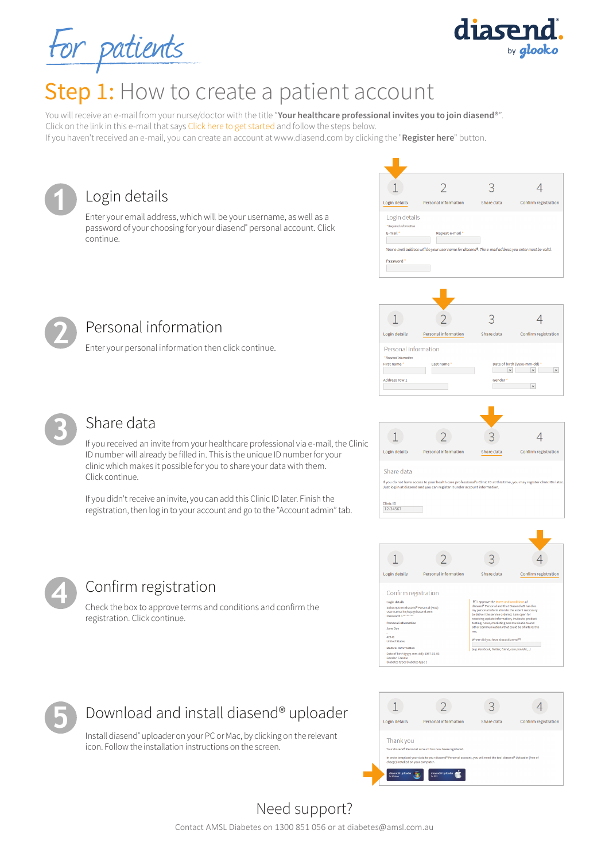For patients



You will receive an e-mail from your nurse/doctor with the title "**Your healthcare professional invites you to join diasend®**". Click on the link in this e-mail that says Click here to get started and follow the steps below. If you haven't received an e-mail, you can create an account at www.diasend.com by clicking the "**Register here**" button.



| Login details                                                  | Personal information                                                                                 | Share data | Confirm registration |
|----------------------------------------------------------------|------------------------------------------------------------------------------------------------------|------------|----------------------|
| Login details<br>* Required Information<br>E-mail <sup>*</sup> | Repeat e-mail *                                                                                      |            |                      |
| Password*                                                      | Your e-mail address will be your user name for diasend®. The e-mail address you enter must be valid. |            |                      |

by glooko

diase



**1**

### Personal information

**4** Confirm registration

registration. Click continue.



#### Share data

If you received an invite from your healthcare professional via e-mail, the Clinic ID number will already be filled in. This is the unique ID number for your clinic which makes it possible for you to share your data with them. Click continue.

If you didn't receive an invite, you can add this Clinic ID later. Finish the registration, then log in to your account and go to the "Account admin" tab.

Check the box to approve terms and conditions and confirm the







## Download and install diasend® uploader

Install diasend® uploader on your PC or Mac, by clicking on the relevant icon. Follow the installation instructions on the screen.



# Need support?

Contact AMSL Diabetes on 1300 851 056 or at diabetes@amsl.com.au